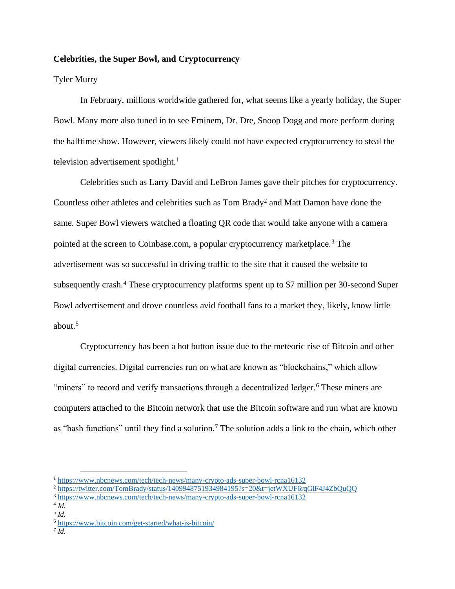## **Celebrities, the Super Bowl, and Cryptocurrency**

## Tyler Murry

In February, millions worldwide gathered for, what seems like a yearly holiday, the Super Bowl. Many more also tuned in to see Eminem, Dr. Dre, Snoop Dogg and more perform during the halftime show. However, viewers likely could not have expected cryptocurrency to steal the television advertisement spotlight.<sup>1</sup>

Celebrities such as Larry David and LeBron James gave their pitches for cryptocurrency. Countless other athletes and celebrities such as  $Tom$  Brady<sup>2</sup> and Matt Damon have done the same. Super Bowl viewers watched a floating QR code that would take anyone with a camera pointed at the screen to Coinbase.com, a popular cryptocurrency marketplace.<sup>3</sup> The advertisement was so successful in driving traffic to the site that it caused the website to subsequently crash.<sup>4</sup> These cryptocurrency platforms spent up to \$7 million per 30-second Super Bowl advertisement and drove countless avid football fans to a market they, likely, know little about.<sup>5</sup>

Cryptocurrency has been a hot button issue due to the meteoric rise of Bitcoin and other digital currencies. Digital currencies run on what are known as "blockchains," which allow "miners" to record and verify transactions through a decentralized ledger.<sup>6</sup> These miners are computers attached to the Bitcoin network that use the Bitcoin software and run what are known as "hash functions" until they find a solution.<sup>7</sup> The solution adds a link to the chain, which other

7 *Id.*

<sup>1</sup> <https://www.nbcnews.com/tech/tech-news/many-crypto-ads-super-bowl-rcna16132>

<sup>2</sup> <https://twitter.com/TomBrady/status/1409948751934984195?s=20&t=jetWXUF6rqGlF4J4ZbQuQQ>

<sup>3</sup> <https://www.nbcnews.com/tech/tech-news/many-crypto-ads-super-bowl-rcna16132>

<sup>4</sup> *Id.* 5 *Id.*

<sup>6</sup> <https://www.bitcoin.com/get-started/what-is-bitcoin/>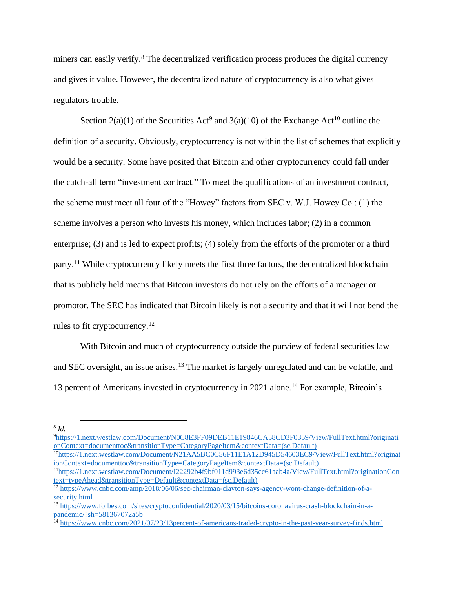miners can easily verify.<sup>8</sup> The decentralized verification process produces the digital currency and gives it value. However, the decentralized nature of cryptocurrency is also what gives regulators trouble.

Section  $2(a)(1)$  of the Securities Act<sup>9</sup> and  $3(a)(10)$  of the Exchange Act<sup>10</sup> outline the definition of a security. Obviously, cryptocurrency is not within the list of schemes that explicitly would be a security. Some have posited that Bitcoin and other cryptocurrency could fall under the catch-all term "investment contract." To meet the qualifications of an investment contract, the scheme must meet all four of the "Howey" factors from SEC v. W.J. Howey Co.: (1) the scheme involves a person who invests his money, which includes labor; (2) in a common enterprise; (3) and is led to expect profits; (4) solely from the efforts of the promoter or a third party.<sup>11</sup> While cryptocurrency likely meets the first three factors, the decentralized blockchain that is publicly held means that Bitcoin investors do not rely on the efforts of a manager or promotor. The SEC has indicated that Bitcoin likely is not a security and that it will not bend the rules to fit cryptocurrency.<sup>12</sup>

With Bitcoin and much of cryptocurrency outside the purview of federal securities law and SEC oversight, an issue arises. <sup>13</sup> The market is largely unregulated and can be volatile, and 13 percent of Americans invested in cryptocurrency in 2021 alone.<sup>14</sup> For example, Bitcoin's

8 *Id.*

<sup>9</sup>[https://1.next.westlaw.com/Document/N0C8E3FF09DEB11E19846CA58CD3F0359/View/FullText.html?originati](https://1.next.westlaw.com/Document/N0C8E3FF09DEB11E19846CA58CD3F0359/View/FullText.html?originationContext=documenttoc&transitionType=CategoryPageItem&contextData=(sc.Default)) [onContext=documenttoc&transitionType=CategoryPageItem&contextData=\(sc.Default\)](https://1.next.westlaw.com/Document/N0C8E3FF09DEB11E19846CA58CD3F0359/View/FullText.html?originationContext=documenttoc&transitionType=CategoryPageItem&contextData=(sc.Default)) <sup>10</sup>[https://1.next.westlaw.com/Document/N21AA5BC0C56F11E1A12D945D54603EC9/View/FullText.html?originat](https://1.next.westlaw.com/Document/N21AA5BC0C56F11E1A12D945D54603EC9/View/FullText.html?originationContext=documenttoc&transitionType=CategoryPageItem&contextData=(sc.Default))

[ionContext=documenttoc&transitionType=CategoryPageItem&contextData=\(sc.Default\)](https://1.next.westlaw.com/Document/N21AA5BC0C56F11E1A12D945D54603EC9/View/FullText.html?originationContext=documenttoc&transitionType=CategoryPageItem&contextData=(sc.Default)) <sup>11</sup>[https://1.next.westlaw.com/Document/I22292b4f9bf011d993e6d35cc61aab4a/View/FullText.html?originationCon](https://1.next.westlaw.com/Document/I22292b4f9bf011d993e6d35cc61aab4a/View/FullText.html?originationContext=typeAhead&transitionType=Default&contextData=(sc.Default)) [text=typeAhead&transitionType=Default&contextData=\(sc.Default\)](https://1.next.westlaw.com/Document/I22292b4f9bf011d993e6d35cc61aab4a/View/FullText.html?originationContext=typeAhead&transitionType=Default&contextData=(sc.Default))

<sup>&</sup>lt;sup>12</sup> [https://www.cnbc.com/amp/2018/06/06/sec-chairman-clayton-says-agency-wont-change-definition-of-a](https://www.cnbc.com/amp/2018/06/06/sec-chairman-clayton-says-agency-wont-change-definition-of-a-security.html)[security.html](https://www.cnbc.com/amp/2018/06/06/sec-chairman-clayton-says-agency-wont-change-definition-of-a-security.html)

<sup>&</sup>lt;sup>13</sup> https://www.forbes.com/<u>sites/cryptoconfidential/2020/03/15/bitcoins-coronavirus-crash-blockchain-in-a-</u> [pandemic/?sh=581367072a5b](https://www.forbes.com/sites/cryptoconfidential/2020/03/15/bitcoins-coronavirus-crash-blockchain-in-a-pandemic/?sh=581367072a5b)

<sup>&</sup>lt;sup>14</sup> <https://www.cnbc.com/2021/07/23/13percent-of-americans-traded-crypto-in-the-past-year-survey-finds.html>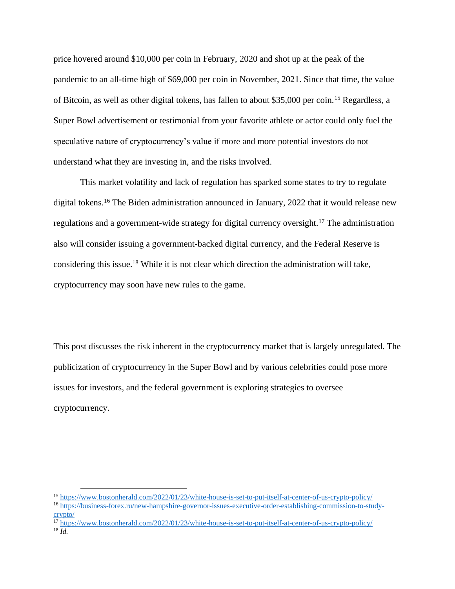price hovered around \$10,000 per coin in February, 2020 and shot up at the peak of the pandemic to an all-time high of \$69,000 per coin in November, 2021. Since that time, the value of Bitcoin, as well as other digital tokens, has fallen to about \$35,000 per coin.<sup>15</sup> Regardless, a Super Bowl advertisement or testimonial from your favorite athlete or actor could only fuel the speculative nature of cryptocurrency's value if more and more potential investors do not understand what they are investing in, and the risks involved.

This market volatility and lack of regulation has sparked some states to try to regulate digital tokens. <sup>16</sup> The Biden administration announced in January, 2022 that it would release new regulations and a government-wide strategy for digital currency oversight.<sup>17</sup> The administration also will consider issuing a government-backed digital currency, and the Federal Reserve is considering this issue.<sup>18</sup> While it is not clear which direction the administration will take, cryptocurrency may soon have new rules to the game.

This post discusses the risk inherent in the cryptocurrency market that is largely unregulated. The publicization of cryptocurrency in the Super Bowl and by various celebrities could pose more issues for investors, and the federal government is exploring strategies to oversee cryptocurrency.

<sup>15</sup> <https://www.bostonherald.com/2022/01/23/white-house-is-set-to-put-itself-at-center-of-us-crypto-policy/>

<sup>16</sup> [https://business-forex.ru/new-hampshire-governor-issues-executive-order-establishing-commission-to-study](https://business-forex.ru/new-hampshire-governor-issues-executive-order-establishing-commission-to-study-crypto/)[crypto/](https://business-forex.ru/new-hampshire-governor-issues-executive-order-establishing-commission-to-study-crypto/)

<sup>&</sup>lt;sup>17</sup> <https://www.bostonherald.com/2022/01/23/white-house-is-set-to-put-itself-at-center-of-us-crypto-policy/> <sup>18</sup> *Id.*